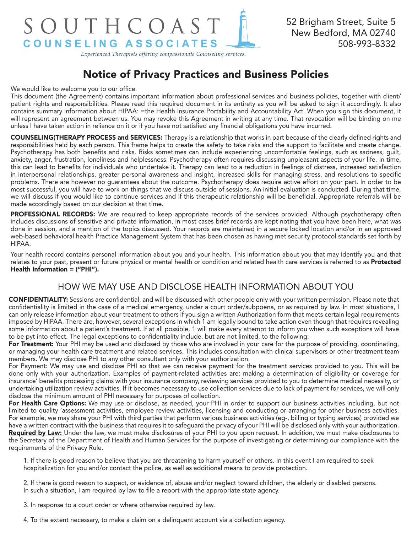# SOUTHCOAST COUNSELING ASSOCIATES

52 Brigham Street, Suite 5 New Bedford, MA 02740 508-993-8332

*Experienced Therapists offering compassionate Counseling services.*

## Notice of Privacy Practices and Business Policies

We would like to welcome you to our office.

This document (the Agreement) contains important information about professional services and business policies, together with client/ patient rights and responsibilities. Please read this required document in its entirety as you will be asked to sign it accordingly. It also contains summary information about HIPAA: =the Health Insurance Portability and Accountability Act. When you sign this document, it will represent an agreement between us. You may revoke this Agreement in writing at any time. That revocation will be binding on me unless I have taken action in reliance on it or if you have not satisfied any financial obligations you have incurred.

COUNSELING(THERAPY PROCESS and SERVICES: Therapy is a relationship that works in part because of the clearly defined rights and responsibilities held by each person. This frame helps to create the safety to take risks and the support to facilitate and create change. Psychotherapy has both benefits and risks. Risks sometimes can include experiencing uncomfortable feelings, such as sadness, guilt, anxiety, anger, frustration, loneliness and helplessness. Psychotherapy often requires discussing unpleasant aspects of your life. In time, this can lead to benefits for individuals who undertake it. Therapy can lead to a reduction in feelings of distress, increased satisfaction in interpersonal relationships, greater personal awareness and insight, increased skills for managing stress, and resolutions to specific problems. There are however no guarantees about the outcome. Psychotherapy does require active effort on your part. In order to be most successful, you will have to work on things that we discuss outside of sessions. An initial evaluation is conducted. During that time, we will discuss if you would like to continue services and if this therapeutic relationship will be beneficial. Appropriate referrals will be made accordingly based on our decision at that time.

PROFESSIONAL RECORDS: We are required to keep appropriate records of the services provided. Although psychotherapy often includes discussions of sensitive and private information, in most cases brief records are kept noting that you have been here, what was done in session, and a mention of the topics discussed. Your records are maintained in a secure locked location and/or in an approved web-based behavioral health Practice Management System that has been chosen as having met security protocol standards set forth by HIPAA.

Your health record contains personal information about you and your health. This information about you that may identify you and that relates to your past, present or future physical or mental health or condition and related health care services is referred to as Protected Health Information = ("PHI").

### HOW WE MAY USE AND DISCLOSE HEALTH INFORMATION ABOUT YOU

CONFIDENTIALITY: Sessions are confidential, and will be discussed with other people only with your written permission. Please note that confidentiality is limited in the case of a medical emergency, under a court order/subpoena, or as required by law. In most situations, I can only release information about your treatment to others if you sign a written Authorization form that meets certain legal requirements imposed by HIPAA. There are, however, several exceptions in which 1 am legally bound to take action even though that requires revealing some information about a patient's treatment. If at all possible, 1 will make every attempt to inform you when such exceptions will have to be pyt into effect. The legal exceptions to confidentiality include, but are not limited, to the following:

For Treatment: Your PHI may be used and disclosed by those who are involved in your care for the purpose of providing, coordinating, or managing your health care treatment and related services. This includes consultation with clinical supervisors or other treatment team members. We may disclose PHI to any other consultant only with your authorization.

For Payment: We may use and disclose PHI so that we can receive payment for the treatment services provided to you. This will be done only with your authorization. Examples of payment-related activities are: making a determination of eligibility or coverage for insurance' benefits processing claims with your insurance company, reviewing services provided to you to determine medical necessity, or undertaking utilization review activities. If it becomes necessary to use collection services due to lack of payment for services, we will only disclose the minimum amount of PHI necessary for purposes of collection.

For Health Care Options: We may use or disclose, as needed, your PHI in order to support our business activities including, but not limited to quality 'assessment activities, employee review activities, licensing and conducting or arranging for other business activities. For example, we may share your PHI with third parties that perform various business activities (eg-, billing or typing services) provided we have a written contract with the business that requires it to safeguard the privacy of your PHI will be disclosed only with your authorization. Required by Law: Under the law, we must make disclosures of your PHI to you upon request. In addition, we must make disclosures to the Secretary of the Department of Health and Human Services for the purpose of investigating or determining our compliance with the requirements of the Privacy Rule.

1. If there is good reason to believe that you are threatening to harm yourself or others. In this event I am required to seek hospitalization for you and/or contact the police, as well as additional means to provide protection.

2. If there is good reason to suspect, or evidence of, abuse and/or neglect toward children, the elderly or disabled persons. In such a situation, I am required by law to file a report with the appropriate state agency.

3. In response to a court order or where otherwise required by law.

4. To the extent necessary, to make a claim on a delinquent account via a collection agency.